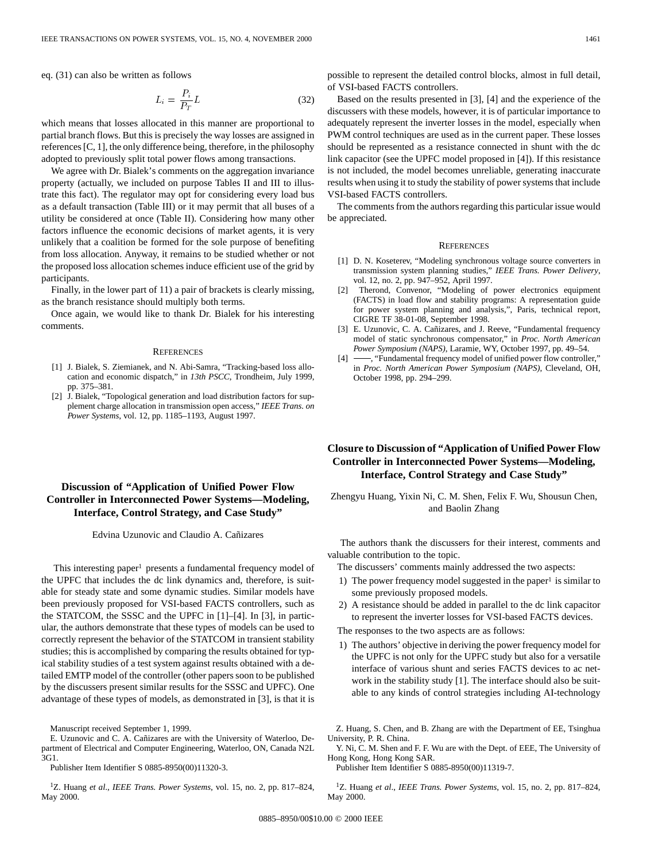eq. (31) can also be written as follows

$$
L_i = \frac{P_i}{P_T} L \tag{32}
$$

which means that losses allocated in this manner are proportional to partial branch flows. But this is precisely the way losses are assigned in references [C, 1], the only difference being, therefore, in the philosophy adopted to previously split total power flows among transactions.

We agree with Dr. Bialek's comments on the aggregation invariance property (actually, we included on purpose Tables II and III to illustrate this fact). The regulator may opt for considering every load bus as a default transaction (Table III) or it may permit that all buses of a utility be considered at once (Table II). Considering how many other factors influence the economic decisions of market agents, it is very unlikely that a coalition be formed for the sole purpose of benefiting from loss allocation. Anyway, it remains to be studied whether or not the proposed loss allocation schemes induce efficient use of the grid by participants.

Finally, in the lower part of 11) a pair of brackets is clearly missing, as the branch resistance should multiply both terms.

Once again, we would like to thank Dr. Bialek for his interesting comments.

### **REFERENCES**

- [1] J. Bialek, S. Ziemianek, and N. Abi-Samra, "Tracking-based loss allocation and economic dispatch," in *13th PSCC*, Trondheim, July 1999, pp. 375–381.
- [2] J. Bialek, "Topological generation and load distribution factors for supplement charge allocation in transmission open access," *IEEE Trans. on Power Systems*, vol. 12, pp. 1185–1193, August 1997.

# **Discussion of "Application of Unified Power Flow Controller in Interconnected Power Systems—Modeling, Interface, Control Strategy, and Case Study"**

Edvina Uzunovic and Claudio A. Cañizares

This interesting paper<sup>1</sup> presents a fundamental frequency model of the UPFC that includes the dc link dynamics and, therefore, is suitable for steady state and some dynamic studies. Similar models have been previously proposed for VSI-based FACTS controllers, such as the STATCOM, the SSSC and the UPFC in [1]–[4]. In [3], in particular, the authors demonstrate that these types of models can be used to correctly represent the behavior of the STATCOM in transient stability studies; this is accomplished by comparing the results obtained for typical stability studies of a test system against results obtained with a detailed EMTP model of the controller (other papers soon to be published by the discussers present similar results for the SSSC and UPFC). One advantage of these types of models, as demonstrated in [3], is that it is

Publisher Item Identifier S 0885-8950(00)11320-3.

1Z. Huang *et al*., *IEEE Trans. Power Systems*, vol. 15, no. 2, pp. 817–824, May 2000.

possible to represent the detailed control blocks, almost in full detail, of VSI-based FACTS controllers.

Based on the results presented in [3], [4] and the experience of the discussers with these models, however, it is of particular importance to adequately represent the inverter losses in the model, especially when PWM control techniques are used as in the current paper. These losses should be represented as a resistance connected in shunt with the dc link capacitor (see the UPFC model proposed in [4]). If this resistance is not included, the model becomes unreliable, generating inaccurate results when using it to study the stability of power systems that include VSI-based FACTS controllers.

The comments from the authors regarding this particular issue would be appreciated.

### **REFERENCES**

- [1] D. N. Koseterev, "Modeling synchronous voltage source converters in transmission system planning studies," *IEEE Trans. Power Delivery*, vol. 12, no. 2, pp. 947–952, April 1997.
- [2] Therond, Convenor, "Modeling of power electronics equipment (FACTS) in load flow and stability programs: A representation guide for power system planning and analysis,", Paris, technical report, CIGRE TF 38-01-08, September 1998.
- [3] E. Uzunovic, C. A. Cañizares, and J. Reeve, "Fundamental frequency model of static synchronous compensator," in *Proc. North American Power Symposium (NAPS)*, Laramie, WY, October 1997, pp. 49–54.
- [4] -, "Fundamental frequency model of unified power flow controller," in *Proc. North American Power Symposium (NAPS)*, Cleveland, OH, October 1998, pp. 294–299.

## **Closure to Discussion of "Application of Unified Power Flow Controller in Interconnected Power Systems—Modeling, Interface, Control Strategy and Case Study"**

Zhengyu Huang, Yixin Ni, C. M. Shen, Felix F. Wu, Shousun Chen, and Baolin Zhang

The authors thank the discussers for their interest, comments and valuable contribution to the topic.

- The discussers' comments mainly addressed the two aspects:
- 1) The power frequency model suggested in the paper<sup>1</sup> is similar to some previously proposed models.
- 2) A resistance should be added in parallel to the dc link capacitor to represent the inverter losses for VSI-based FACTS devices.

The responses to the two aspects are as follows:

1) The authors' objective in deriving the power frequency model for the UPFC is not only for the UPFC study but also for a versatile interface of various shunt and series FACTS devices to ac network in the stability study [1]. The interface should also be suitable to any kinds of control strategies including AI-technology

Z. Huang, S. Chen, and B. Zhang are with the Department of EE, Tsinghua University, P. R. China.

Y. Ni, C. M. Shen and F. F. Wu are with the Dept. of EEE, The University of Hong Kong, Hong Kong SAR.

Publisher Item Identifier S 0885-8950(00)11319-7.

1Z. Huang *et al*., *IEEE Trans. Power Systems*, vol. 15, no. 2, pp. 817–824, May 2000.

Manuscript received September 1, 1999.

E. Uzunovic and C. A. Cañizares are with the University of Waterloo, Department of Electrical and Computer Engineering, Waterloo, ON, Canada N2L 3G1.